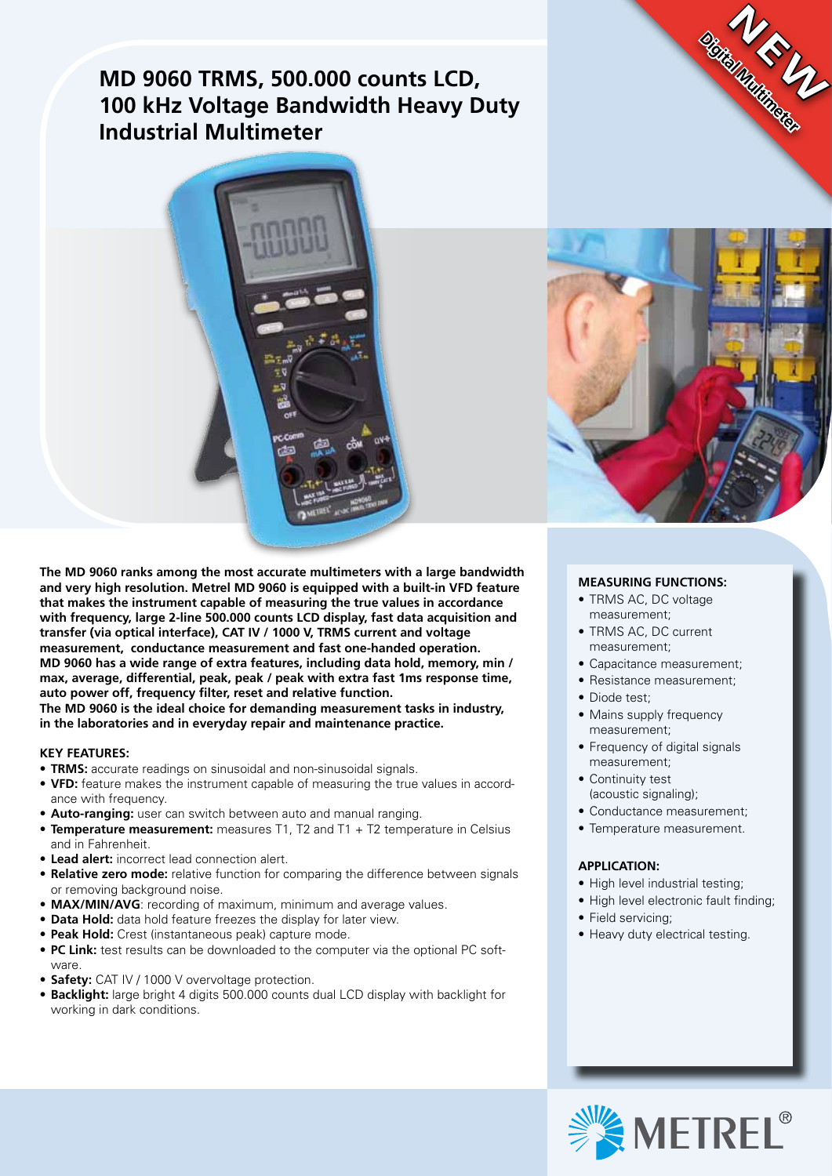## **MD 9060 TRMS, 500.000 counts LCD, 100 kHz Voltage Bandwidth Heavy Duty Industrial Multimeter**





**Digital Multimeter**

**NEW UP** 

**The MD 9060 ranks among the most accurate multimeters with a large bandwidth and very high resolution. Metrel MD 9060 is equipped with a built-in VFD feature that makes the instrument capable of measuring the true values in accordance with frequency, large 2-line 500.000 counts LCD display, fast data acquisition and transfer (via optical interface), CAT IV / 1000 V, TRMS current and voltage measurement, conductance measurement and fast one-handed operation. MD 9060 has a wide range of extra features, including data hold, memory, min / max, average, differential, peak, peak / peak with extra fast 1ms response time, auto power off, frequency filter, reset and relative function. The MD 9060 is the ideal choice for demanding measurement tasks in industry,** 

**in the laboratories and in everyday repair and maintenance practice.**

### **KEY FEATURES:**

- **TRMS:** accurate readings on sinusoidal and non-sinusoidal signals.
- • **VFD:** feature makes the instrument capable of measuring the true values in accordance with frequency.
- **Auto-ranging:** user can switch between auto and manual ranging.
- **Temperature measurement:** measures T1, T2 and T1 + T2 temperature in Celsius and in Fahrenheit.
- • **Lead alert:** incorrect lead connection alert.
- **Relative zero mode:** relative function for comparing the difference between signals or removing background noise.
- **MAX/MIN/AVG**: recording of maximum, minimum and average values.
- **Data Hold:** data hold feature freezes the display for later view.
- **Peak Hold:** Crest (instantaneous peak) capture mode.
- PC Link: test results can be downloaded to the computer via the optional PC software.
- **Safety:** CAT IV / 1000 V overvoltage protection.
- Backlight: large bright 4 digits 500.000 counts dual LCD display with backlight for working in dark conditions.

### **MEASURING FUNCTIONS:**

- • TRMS AC, DC voltage measurement;
- TRMS AC, DC current measurement;
- • Capacitance measurement;
- Resistance measurement:
- Diode test:
- Mains supply frequency measurement;
- Frequency of digital signals measurement;
- Continuity test (acoustic signaling);
- Conductance measurement;
- • Temperature measurement.

### **APPLICATION:**

- High level industrial testing;
- High level electronic fault finding;
- Field servicing;
- Heavy duty electrical testing.